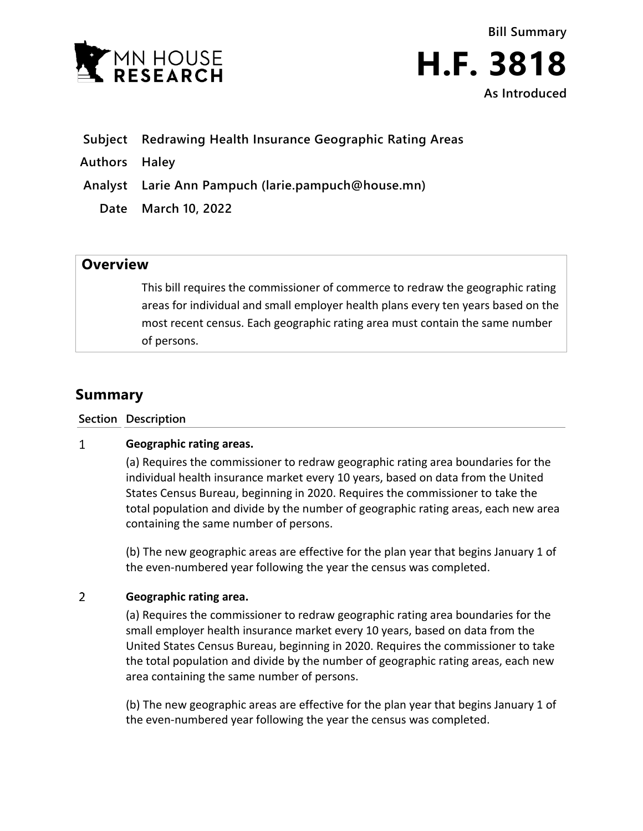



- **Subject Redrawing Health Insurance Geographic Rating Areas**
- **Authors Haley**

**Analyst Larie Ann Pampuch (larie.pampuch@house.mn)**

**Date March 10, 2022**

## **Overview**

This bill requires the commissioner of commerce to redraw the geographic rating areas for individual and small employer health plans every ten years based on the most recent census. Each geographic rating area must contain the same number of persons.

## **Summary**

**Section Description**

## $\mathbf{1}$ **Geographic rating areas.**

(a) Requires the commissioner to redraw geographic rating area boundaries for the individual health insurance market every 10 years, based on data from the United States Census Bureau, beginning in 2020. Requires the commissioner to take the total population and divide by the number of geographic rating areas, each new area containing the same number of persons.

(b) The new geographic areas are effective for the plan year that begins January 1 of the even-numbered year following the year the census was completed.

## $\overline{2}$ **Geographic rating area.**

(a) Requires the commissioner to redraw geographic rating area boundaries for the small employer health insurance market every 10 years, based on data from the United States Census Bureau, beginning in 2020. Requires the commissioner to take the total population and divide by the number of geographic rating areas, each new area containing the same number of persons.

(b) The new geographic areas are effective for the plan year that begins January 1 of the even-numbered year following the year the census was completed.